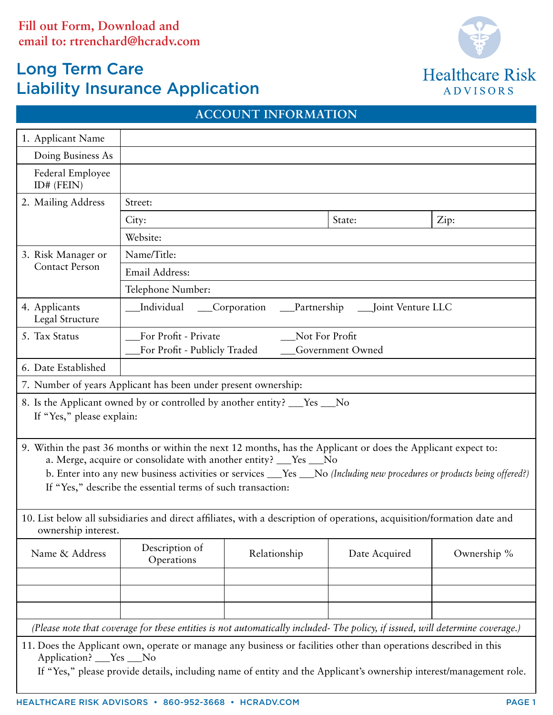# Long Term Care Liability Insurance Application



|                                                                                                                                                                                                                                                                                                                                                                              |                                                                                                                         | AUUUUN LINFUKMATIUN                              |               |             |  |  |  |  |  |  |
|------------------------------------------------------------------------------------------------------------------------------------------------------------------------------------------------------------------------------------------------------------------------------------------------------------------------------------------------------------------------------|-------------------------------------------------------------------------------------------------------------------------|--------------------------------------------------|---------------|-------------|--|--|--|--|--|--|
| 1. Applicant Name                                                                                                                                                                                                                                                                                                                                                            |                                                                                                                         |                                                  |               |             |  |  |  |  |  |  |
| Doing Business As                                                                                                                                                                                                                                                                                                                                                            |                                                                                                                         |                                                  |               |             |  |  |  |  |  |  |
| Federal Employee<br>ID# (FEIN)                                                                                                                                                                                                                                                                                                                                               |                                                                                                                         |                                                  |               |             |  |  |  |  |  |  |
| 2. Mailing Address                                                                                                                                                                                                                                                                                                                                                           | Street:                                                                                                                 |                                                  |               |             |  |  |  |  |  |  |
|                                                                                                                                                                                                                                                                                                                                                                              | State:<br>Zip:<br>City:                                                                                                 |                                                  |               |             |  |  |  |  |  |  |
|                                                                                                                                                                                                                                                                                                                                                                              | Website:                                                                                                                |                                                  |               |             |  |  |  |  |  |  |
| 3. Risk Manager or                                                                                                                                                                                                                                                                                                                                                           | Name/Title:                                                                                                             |                                                  |               |             |  |  |  |  |  |  |
| <b>Contact Person</b>                                                                                                                                                                                                                                                                                                                                                        | Email Address:                                                                                                          |                                                  |               |             |  |  |  |  |  |  |
|                                                                                                                                                                                                                                                                                                                                                                              | Telephone Number:                                                                                                       |                                                  |               |             |  |  |  |  |  |  |
| 4. Applicants<br>Legal Structure                                                                                                                                                                                                                                                                                                                                             | _Individual ____Corporation ____Partnership ____Joint Venture LLC                                                       |                                                  |               |             |  |  |  |  |  |  |
| 5. Tax Status                                                                                                                                                                                                                                                                                                                                                                | For Profit - Private                                                                                                    | Not For Profit                                   |               |             |  |  |  |  |  |  |
|                                                                                                                                                                                                                                                                                                                                                                              |                                                                                                                         | For Profit - Publicly Traded<br>Government Owned |               |             |  |  |  |  |  |  |
| 6. Date Established                                                                                                                                                                                                                                                                                                                                                          |                                                                                                                         |                                                  |               |             |  |  |  |  |  |  |
|                                                                                                                                                                                                                                                                                                                                                                              | 7. Number of years Applicant has been under present ownership:                                                          |                                                  |               |             |  |  |  |  |  |  |
| If "Yes," please explain:                                                                                                                                                                                                                                                                                                                                                    | 8. Is the Applicant owned by or controlled by another entity? ___Yes ___No                                              |                                                  |               |             |  |  |  |  |  |  |
| 9. Within the past 36 months or within the next 12 months, has the Applicant or does the Applicant expect to:<br>a. Merge, acquire or consolidate with another entity? __Yes __No<br>b. Enter into any new business activities or services ___Yes ___No (Including new procedures or products being offered?)<br>If "Yes," describe the essential terms of such transaction: |                                                                                                                         |                                                  |               |             |  |  |  |  |  |  |
| ownership interest.                                                                                                                                                                                                                                                                                                                                                          | 10. List below all subsidiaries and direct affiliates, with a description of operations, acquisition/formation date and |                                                  |               |             |  |  |  |  |  |  |
| Name & Address                                                                                                                                                                                                                                                                                                                                                               | Description of<br>Operations                                                                                            | Relationship                                     | Date Acquired | Ownership % |  |  |  |  |  |  |
|                                                                                                                                                                                                                                                                                                                                                                              |                                                                                                                         |                                                  |               |             |  |  |  |  |  |  |
|                                                                                                                                                                                                                                                                                                                                                                              |                                                                                                                         |                                                  |               |             |  |  |  |  |  |  |
| (Please note that coverage for these entities is not automatically included- The policy, if issued, will determine coverage.)                                                                                                                                                                                                                                                |                                                                                                                         |                                                  |               |             |  |  |  |  |  |  |
| 11. Does the Applicant own, operate or manage any business or facilities other than operations described in this<br>Application? __ Yes __ No<br>If "Yes," please provide details, including name of entity and the Applicant's ownership interest/management role.                                                                                                          |                                                                                                                         |                                                  |               |             |  |  |  |  |  |  |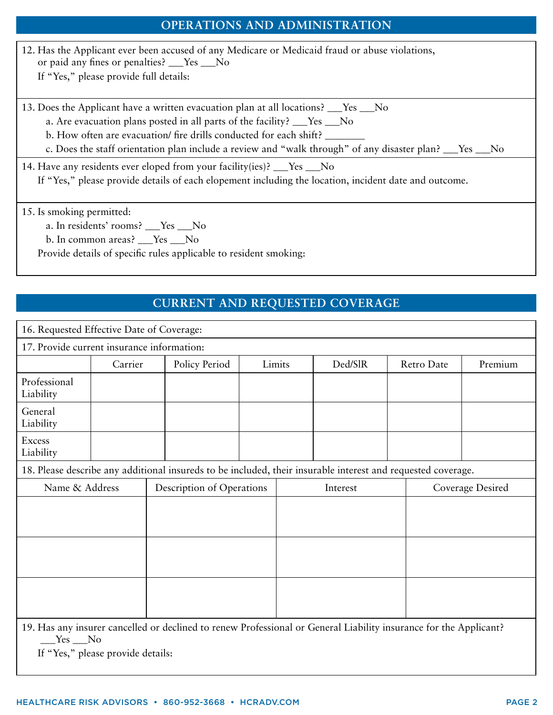## **OPERATIONS AND ADMINISTRATION**

| 12. Has the Applicant ever been accused of any Medicare or Medicaid fraud or abuse violations,<br>or paid any fines or penalties? ___Yes ___No<br>If "Yes," please provide full details:                                                                                                                                                       |
|------------------------------------------------------------------------------------------------------------------------------------------------------------------------------------------------------------------------------------------------------------------------------------------------------------------------------------------------|
| 13. Does the Applicant have a written evacuation plan at all locations? Thes No<br>a. Are evacuation plans posted in all parts of the facility? ___Yes ___No<br>b. How often are evacuation/ fire drills conducted for each shift?<br>c. Does the staff orientation plan include a review and "walk through" of any disaster plan? ___Yes __No |
| 14. Have any residents ever eloped from your facility (ies)? $\_\_\_\$ Yes $\_\_\$ No<br>If "Yes," please provide details of each elopement including the location, incident date and outcome.                                                                                                                                                 |
| 15. Is smoking permitted:<br>a. In residents' rooms? ___Yes ___No<br>b. In common areas? $Yes$ No<br>Provide details of specific rules applicable to resident smoking:                                                                                                                                                                         |

### **CURRENT AND REQUESTED COVERAGE**

| 16. Requested Effective Date of Coverage:                                                                                     |         |                           |               |        |          |         |            |                  |         |  |
|-------------------------------------------------------------------------------------------------------------------------------|---------|---------------------------|---------------|--------|----------|---------|------------|------------------|---------|--|
| 17. Provide current insurance information:                                                                                    |         |                           |               |        |          |         |            |                  |         |  |
|                                                                                                                               | Carrier |                           | Policy Period | Limits |          | Ded/SlR | Retro Date |                  | Premium |  |
| Professional<br>Liability                                                                                                     |         |                           |               |        |          |         |            |                  |         |  |
| General<br>Liability                                                                                                          |         |                           |               |        |          |         |            |                  |         |  |
| <b>Excess</b><br>Liability                                                                                                    |         |                           |               |        |          |         |            |                  |         |  |
| 18. Please describe any additional insureds to be included, their insurable interest and requested coverage.                  |         |                           |               |        |          |         |            |                  |         |  |
| Name & Address                                                                                                                |         | Description of Operations |               |        | Interest |         |            | Coverage Desired |         |  |
|                                                                                                                               |         |                           |               |        |          |         |            |                  |         |  |
|                                                                                                                               |         |                           |               |        |          |         |            |                  |         |  |
|                                                                                                                               |         |                           |               |        |          |         |            |                  |         |  |
| 19. Has any insurer cancelled or declined to renew Professional or General Liability insurance for the Applicant?<br>$Yes$ No |         |                           |               |        |          |         |            |                  |         |  |

If "Yes," please provide details: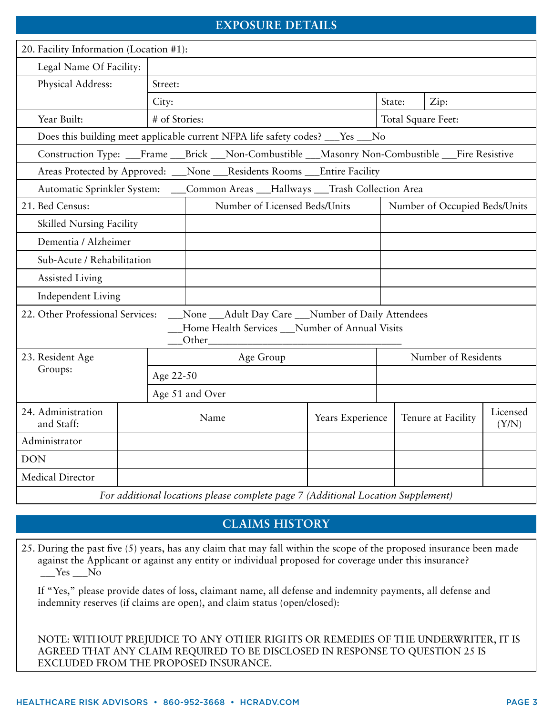#### **EXPOSURE DETAILS**

| 20. Facility Information (Location #1):                                                         |  |                 |           |  |  |                     |                                                    |        |  |                               |                   |
|-------------------------------------------------------------------------------------------------|--|-----------------|-----------|--|--|---------------------|----------------------------------------------------|--------|--|-------------------------------|-------------------|
| Legal Name Of Facility:                                                                         |  |                 |           |  |  |                     |                                                    |        |  |                               |                   |
| Physical Address:                                                                               |  | Street:         |           |  |  |                     |                                                    |        |  |                               |                   |
|                                                                                                 |  | City:           |           |  |  |                     |                                                    | State: |  | Zip:                          |                   |
| # of Stories:<br>Year Built:                                                                    |  |                 |           |  |  |                     |                                                    |        |  | Total Square Feet:            |                   |
| Does this building meet applicable current NFPA life safety codes? ___ Yes ___ No               |  |                 |           |  |  |                     |                                                    |        |  |                               |                   |
| Construction Type: __Frame __Brick __Non-Combustible __Masonry Non-Combustible __Fire Resistive |  |                 |           |  |  |                     |                                                    |        |  |                               |                   |
| Areas Protected by Approved: __None __Residents Rooms __Entire Facility                         |  |                 |           |  |  |                     |                                                    |        |  |                               |                   |
| Automatic Sprinkler System: ___Common Areas ___Hallways ___Trash Collection Area                |  |                 |           |  |  |                     |                                                    |        |  |                               |                   |
| 21. Bed Census:                                                                                 |  |                 |           |  |  |                     | Number of Licensed Beds/Units                      |        |  | Number of Occupied Beds/Units |                   |
| <b>Skilled Nursing Facility</b>                                                                 |  |                 |           |  |  |                     |                                                    |        |  |                               |                   |
| Dementia / Alzheimer                                                                            |  |                 |           |  |  |                     |                                                    |        |  |                               |                   |
| Sub-Acute / Rehabilitation                                                                      |  |                 |           |  |  |                     |                                                    |        |  |                               |                   |
| <b>Assisted Living</b>                                                                          |  |                 |           |  |  |                     |                                                    |        |  |                               |                   |
| Independent Living                                                                              |  |                 |           |  |  |                     |                                                    |        |  |                               |                   |
| 22. Other Professional Services:                                                                |  |                 |           |  |  |                     | _None __Adult Day Care __Number of Daily Attendees |        |  |                               |                   |
|                                                                                                 |  |                 | Other_    |  |  |                     | Home Health Services __Number of Annual Visits     |        |  |                               |                   |
| 23. Resident Age                                                                                |  |                 | Age Group |  |  | Number of Residents |                                                    |        |  |                               |                   |
| Groups:                                                                                         |  | Age 22-50       |           |  |  |                     |                                                    |        |  |                               |                   |
|                                                                                                 |  | Age 51 and Over |           |  |  |                     |                                                    |        |  |                               |                   |
| 24. Administration<br>and Staff:                                                                |  | Name            |           |  |  |                     | Years Experience                                   |        |  | Tenure at Facility            | Licensed<br>(Y/N) |
| Administrator                                                                                   |  |                 |           |  |  |                     |                                                    |        |  |                               |                   |
| <b>DON</b>                                                                                      |  |                 |           |  |  |                     |                                                    |        |  |                               |                   |
| Medical Director                                                                                |  |                 |           |  |  |                     |                                                    |        |  |                               |                   |

*For additional locations please complete page 7 (Additional Location Supplement)*

#### **CLAIMS HISTORY**

25. During the past five (5) years, has any claim that may fall within the scope of the proposed insurance been made against the Applicant or against any entity or individual proposed for coverage under this insurance?  $Yes$   $No$ 

If "Yes," please provide dates of loss, claimant name, all defense and indemnity payments, all defense and indemnity reserves (if claims are open), and claim status (open/closed):

NOTE: WITHOUT PREJUDICE TO ANY OTHER RIGHTS OR REMEDIES OF THE UNDERWRITER, IT IS AGREED THAT ANY CLAIM REQUIRED TO BE DISCLOSED IN RESPONSE TO QUESTION 25 IS EXCLUDED FROM THE PROPOSED INSURANCE.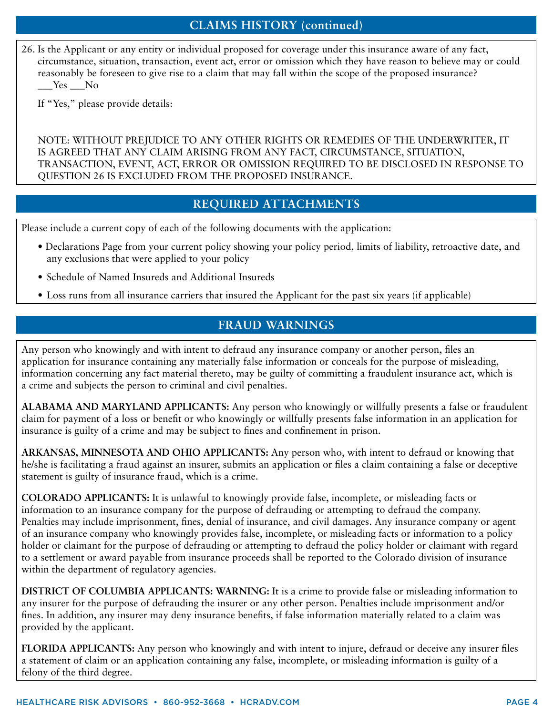#### **CLAIMS HISTORY (continued)**

26. Is the Applicant or any entity or individual proposed for coverage under this insurance aware of any fact, circumstance, situation, transaction, event act, error or omission which they have reason to believe may or could reasonably be foreseen to give rise to a claim that may fall within the scope of the proposed insurance? Yes No

If "Yes," please provide details:

NOTE: WITHOUT PREJUDICE TO ANY OTHER RIGHTS OR REMEDIES OF THE UNDERWRITER, IT IS AGREED THAT ANY CLAIM ARISING FROM ANY FACT, CIRCUMSTANCE, SITUATION, TRANSACTION, EVENT, ACT, ERROR OR OMISSION REQUIRED TO BE DISCLOSED IN RESPONSE TO QUESTION 26 IS EXCLUDED FROM THE PROPOSED INSURANCE.

#### **REQUIRED ATTACHMENTS**

Please include a current copy of each of the following documents with the application:

- Declarations Page from your current policy showing your policy period, limits of liability, retroactive date, and any exclusions that were applied to your policy
- • Schedule of Named Insureds and Additional Insureds
- Loss runs from all insurance carriers that insured the Applicant for the past six years (if applicable)

#### **FRAUD WARNINGS**

Any person who knowingly and with intent to defraud any insurance company or another person, files an application for insurance containing any materially false information or conceals for the purpose of misleading, information concerning any fact material thereto, may be guilty of committing a fraudulent insurance act, which is a crime and subjects the person to criminal and civil penalties.

**ALABAMA AND MARYLAND APPLICANTS:** Any person who knowingly or willfully presents a false or fraudulent claim for payment of a loss or benefit or who knowingly or willfully presents false information in an application for insurance is guilty of a crime and may be subject to fines and confinement in prison.

**ARKANSAS, MINNESOTA AND OHIO APPLICANTS:** Any person who, with intent to defraud or knowing that he/she is facilitating a fraud against an insurer, submits an application or files a claim containing a false or deceptive statement is guilty of insurance fraud, which is a crime.

**COLORADO APPLICANTS:** It is unlawful to knowingly provide false, incomplete, or misleading facts or information to an insurance company for the purpose of defrauding or attempting to defraud the company. Penalties may include imprisonment, fines, denial of insurance, and civil damages. Any insurance company or agent of an insurance company who knowingly provides false, incomplete, or misleading facts or information to a policy holder or claimant for the purpose of defrauding or attempting to defraud the policy holder or claimant with regard to a settlement or award payable from insurance proceeds shall be reported to the Colorado division of insurance within the department of regulatory agencies.

**DISTRICT OF COLUMBIA APPLICANTS: WARNING:** It is a crime to provide false or misleading information to any insurer for the purpose of defrauding the insurer or any other person. Penalties include imprisonment and/or fines. In addition, any insurer may deny insurance benefits, if false information materially related to a claim was provided by the applicant.

**FLORIDA APPLICANTS:** Any person who knowingly and with intent to injure, defraud or deceive any insurer files a statement of claim or an application containing any false, incomplete, or misleading information is guilty of a felony of the third degree.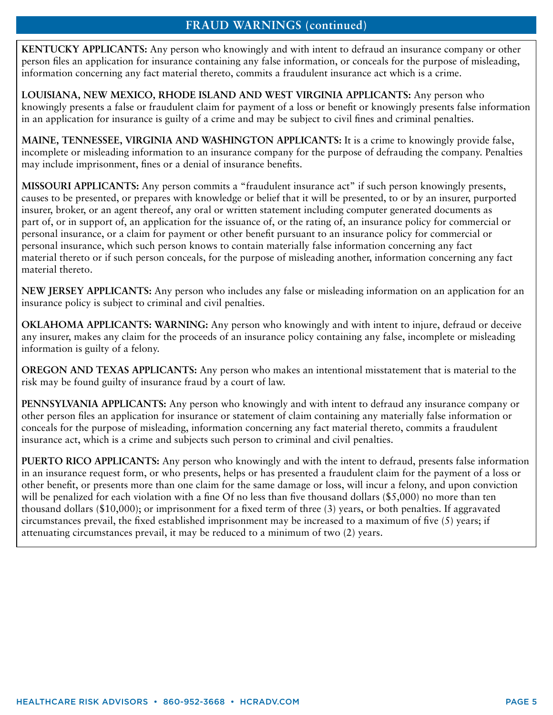#### **FRAUD WARNINGS (continued)**

**KENTUCKY APPLICANTS:** Any person who knowingly and with intent to defraud an insurance company or other person files an application for insurance containing any false information, or conceals for the purpose of misleading, information concerning any fact material thereto, commits a fraudulent insurance act which is a crime.

**LOUISIANA, NEW MEXICO, RHODE ISLAND AND WEST VIRGINIA APPLICANTS:** Any person who knowingly presents a false or fraudulent claim for payment of a loss or benefit or knowingly presents false information in an application for insurance is guilty of a crime and may be subject to civil fines and criminal penalties.

**MAINE, TENNESSEE, VIRGINIA AND WASHINGTON APPLICANTS:** It is a crime to knowingly provide false, incomplete or misleading information to an insurance company for the purpose of defrauding the company. Penalties may include imprisonment, fines or a denial of insurance benefits.

**MISSOURI APPLICANTS:** Any person commits a "fraudulent insurance act" if such person knowingly presents, causes to be presented, or prepares with knowledge or belief that it will be presented, to or by an insurer, purported insurer, broker, or an agent thereof, any oral or written statement including computer generated documents as part of, or in support of, an application for the issuance of, or the rating of, an insurance policy for commercial or personal insurance, or a claim for payment or other benefit pursuant to an insurance policy for commercial or personal insurance, which such person knows to contain materially false information concerning any fact material thereto or if such person conceals, for the purpose of misleading another, information concerning any fact material thereto.

**NEW JERSEY APPLICANTS:** Any person who includes any false or misleading information on an application for an insurance policy is subject to criminal and civil penalties.

**OKLAHOMA APPLICANTS: WARNING:** Any person who knowingly and with intent to injure, defraud or deceive any insurer, makes any claim for the proceeds of an insurance policy containing any false, incomplete or misleading information is guilty of a felony.

**OREGON AND TEXAS APPLICANTS:** Any person who makes an intentional misstatement that is material to the risk may be found guilty of insurance fraud by a court of law.

**PENNSYLVANIA APPLICANTS:** Any person who knowingly and with intent to defraud any insurance company or other person files an application for insurance or statement of claim containing any materially false information or conceals for the purpose of misleading, information concerning any fact material thereto, commits a fraudulent insurance act, which is a crime and subjects such person to criminal and civil penalties.

**PUERTO RICO APPLICANTS:** Any person who knowingly and with the intent to defraud, presents false information in an insurance request form, or who presents, helps or has presented a fraudulent claim for the payment of a loss or other benefit, or presents more than one claim for the same damage or loss, will incur a felony, and upon conviction will be penalized for each violation with a fine Of no less than five thousand dollars (\$5,000) no more than ten thousand dollars (\$10,000); or imprisonment for a fixed term of three (3) years, or both penalties. If aggravated circumstances prevail, the fixed established imprisonment may be increased to a maximum of five (5) years; if attenuating circumstances prevail, it may be reduced to a minimum of two (2) years.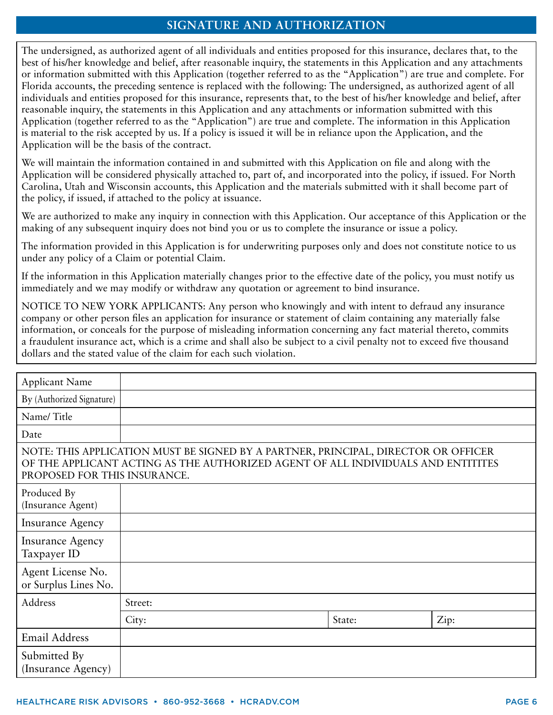#### **SIGNATURE AND AUTHORIZATION**

The undersigned, as authorized agent of all individuals and entities proposed for this insurance, declares that, to the best of his/her knowledge and belief, after reasonable inquiry, the statements in this Application and any attachments or information submitted with this Application (together referred to as the "Application") are true and complete. For Florida accounts, the preceding sentence is replaced with the following: The undersigned, as authorized agent of all individuals and entities proposed for this insurance, represents that, to the best of his/her knowledge and belief, after reasonable inquiry, the statements in this Application and any attachments or information submitted with this Application (together referred to as the "Application") are true and complete. The information in this Application is material to the risk accepted by us. If a policy is issued it will be in reliance upon the Application, and the Application will be the basis of the contract.

We will maintain the information contained in and submitted with this Application on file and along with the Application will be considered physically attached to, part of, and incorporated into the policy, if issued. For North Carolina, Utah and Wisconsin accounts, this Application and the materials submitted with it shall become part of the policy, if issued, if attached to the policy at issuance.

We are authorized to make any inquiry in connection with this Application. Our acceptance of this Application or the making of any subsequent inquiry does not bind you or us to complete the insurance or issue a policy.

The information provided in this Application is for underwriting purposes only and does not constitute notice to us under any policy of a Claim or potential Claim.

If the information in this Application materially changes prior to the effective date of the policy, you must notify us immediately and we may modify or withdraw any quotation or agreement to bind insurance.

NOTICE TO NEW YORK APPLICANTS: Any person who knowingly and with intent to defraud any insurance company or other person files an application for insurance or statement of claim containing any materially false information, or conceals for the purpose of misleading information concerning any fact material thereto, commits a fraudulent insurance act, which is a crime and shall also be subject to a civil penalty not to exceed five thousand dollars and the stated value of the claim for each such violation.

| <b>Applicant Name</b>                                                                                                                                                                                  |         |  |        |      |  |  |  |
|--------------------------------------------------------------------------------------------------------------------------------------------------------------------------------------------------------|---------|--|--------|------|--|--|--|
| By (Authorized Signature)                                                                                                                                                                              |         |  |        |      |  |  |  |
| Name/Title                                                                                                                                                                                             |         |  |        |      |  |  |  |
| Date                                                                                                                                                                                                   |         |  |        |      |  |  |  |
| NOTE: THIS APPLICATION MUST BE SIGNED BY A PARTNER, PRINCIPAL, DIRECTOR OR OFFICER<br>OF THE APPLICANT ACTING AS THE AUTHORIZED AGENT OF ALL INDIVIDUALS AND ENTITITES<br>PROPOSED FOR THIS INSURANCE. |         |  |        |      |  |  |  |
| Produced By<br>(Insurance Agent)                                                                                                                                                                       |         |  |        |      |  |  |  |
| <b>Insurance Agency</b>                                                                                                                                                                                |         |  |        |      |  |  |  |
| <b>Insurance Agency</b><br>Taxpayer ID                                                                                                                                                                 |         |  |        |      |  |  |  |
| Agent License No.<br>or Surplus Lines No.                                                                                                                                                              |         |  |        |      |  |  |  |
| Address                                                                                                                                                                                                | Street: |  |        |      |  |  |  |
|                                                                                                                                                                                                        | City:   |  | State: | Zip: |  |  |  |
| Email Address                                                                                                                                                                                          |         |  |        |      |  |  |  |
| Submitted By<br>(Insurance Agency)                                                                                                                                                                     |         |  |        |      |  |  |  |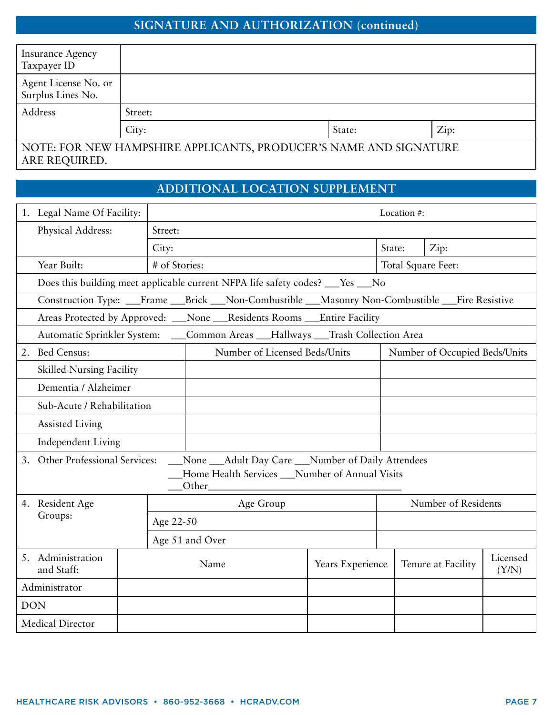## **SIGNATURE AND AUTHORIZATION (continued)**

| <b>Insurance Agency</b><br>Taxpayer ID                            |         |        |      |  |  |  |  |
|-------------------------------------------------------------------|---------|--------|------|--|--|--|--|
| Agent License No. or<br>Surplus Lines No.                         |         |        |      |  |  |  |  |
| Address                                                           | Street: |        |      |  |  |  |  |
|                                                                   | City:   | State: | Zip: |  |  |  |  |
| NOTE: FOR NEW HAMPSHIRE APPLICANTS, PRODUCER'S NAME AND SIGNATURE |         |        |      |  |  |  |  |

ARE REQUIRED.

### **ADDITIONAL LOCATION SUPPLEMENT**

|               | 1. Legal Name Of Facility:                                                                      |           | Location #:                                                                         |                     |        |                               |                   |  |  |
|---------------|-------------------------------------------------------------------------------------------------|-----------|-------------------------------------------------------------------------------------|---------------------|--------|-------------------------------|-------------------|--|--|
|               | Physical Address:                                                                               | Street:   |                                                                                     |                     |        |                               |                   |  |  |
|               |                                                                                                 | City:     |                                                                                     |                     | State: | Zip:                          |                   |  |  |
|               | Year Built:                                                                                     |           | # of Stories:<br>Total Square Feet:                                                 |                     |        |                               |                   |  |  |
|               | Does this building meet applicable current NFPA life safety codes? ___Yes ___No                 |           |                                                                                     |                     |        |                               |                   |  |  |
|               | Construction Type: __Frame __Brick __Non-Combustible __Masonry Non-Combustible __Fire Resistive |           |                                                                                     |                     |        |                               |                   |  |  |
|               |                                                                                                 |           | Areas Protected by Approved: __None __Residents Rooms __Entire Facility             |                     |        |                               |                   |  |  |
|               |                                                                                                 |           | Automatic Sprinkler System: ____Common Areas ___Hallways ___Trash Collection Area   |                     |        |                               |                   |  |  |
|               | 2. Bed Census:                                                                                  |           | Number of Licensed Beds/Units                                                       |                     |        | Number of Occupied Beds/Units |                   |  |  |
|               | <b>Skilled Nursing Facility</b>                                                                 |           |                                                                                     |                     |        |                               |                   |  |  |
|               | Dementia / Alzheimer                                                                            |           |                                                                                     |                     |        |                               |                   |  |  |
|               | Sub-Acute / Rehabilitation                                                                      |           |                                                                                     |                     |        |                               |                   |  |  |
|               | <b>Assisted Living</b>                                                                          |           |                                                                                     |                     |        |                               |                   |  |  |
|               | <b>Independent Living</b>                                                                       |           |                                                                                     |                     |        |                               |                   |  |  |
|               |                                                                                                 |           | 3. Other Professional Services: __None __Adult Day Care __Number of Daily Attendees |                     |        |                               |                   |  |  |
|               |                                                                                                 |           | Home Health Services __Number of Annual Visits                                      |                     |        |                               |                   |  |  |
|               | 4. Resident Age                                                                                 |           | Age Group                                                                           | Number of Residents |        |                               |                   |  |  |
|               | Groups:                                                                                         | Age 22-50 |                                                                                     |                     |        |                               |                   |  |  |
|               |                                                                                                 |           | Age 51 and Over                                                                     |                     |        |                               |                   |  |  |
|               | 5. Administration<br>and Staff:                                                                 |           | Name                                                                                | Years Experience    |        | Tenure at Facility            | Licensed<br>(Y/N) |  |  |
| Administrator |                                                                                                 |           |                                                                                     |                     |        |                               |                   |  |  |
| <b>DON</b>    |                                                                                                 |           |                                                                                     |                     |        |                               |                   |  |  |
|               | Medical Director                                                                                |           |                                                                                     |                     |        |                               |                   |  |  |